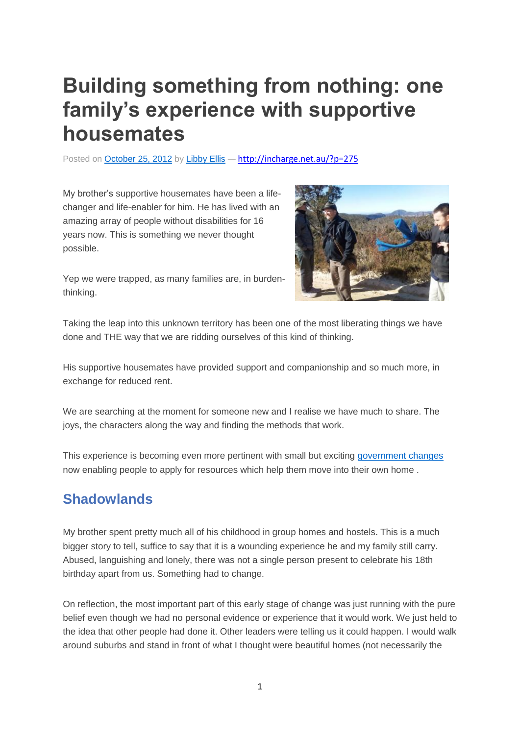# **Building something from nothing: one family's experience with supportive housemates**

Posted on [October](http://incharge.net.au/?p=275) 25, 2012 by [Libby](http://incharge.net.au/?author=1) Ellis — <http://incharge.net.au/?p=275>

My brother's supportive housemates have been a lifechanger and life-enabler for him. He has lived with an amazing array of people without disabilities for 16 years now. This is something we never thought possible.

Yep we were trapped, as many families are, in burdenthinking.



Taking the leap into this unknown territory has been one of the most liberating things we have done and THE way that we are ridding ourselves of this kind of thinking.

His supportive housemates have provided support and companionship and so much more, in exchange for reduced rent.

We are searching at the moment for someone new and I realise we have much to share. The joys, the characters along the way and finding the methods that work.

This experience is becoming even more pertinent with small but exciting [government](http://www.adhc.nsw.gov.au/individuals/support/somewhere_to_live/individualised_accommodation_support) changes now enabling people to apply for resources which help them move into their own home .

#### **Shadowlands**

My brother spent pretty much all of his childhood in group homes and hostels. This is a much bigger story to tell, suffice to say that it is a wounding experience he and my family still carry. Abused, languishing and lonely, there was not a single person present to celebrate his 18th birthday apart from us. Something had to change.

On reflection, the most important part of this early stage of change was just running with the pure belief even though we had no personal evidence or experience that it would work. We just held to the idea that other people had done it. Other leaders were telling us it could happen. I would walk around suburbs and stand in front of what I thought were beautiful homes (not necessarily the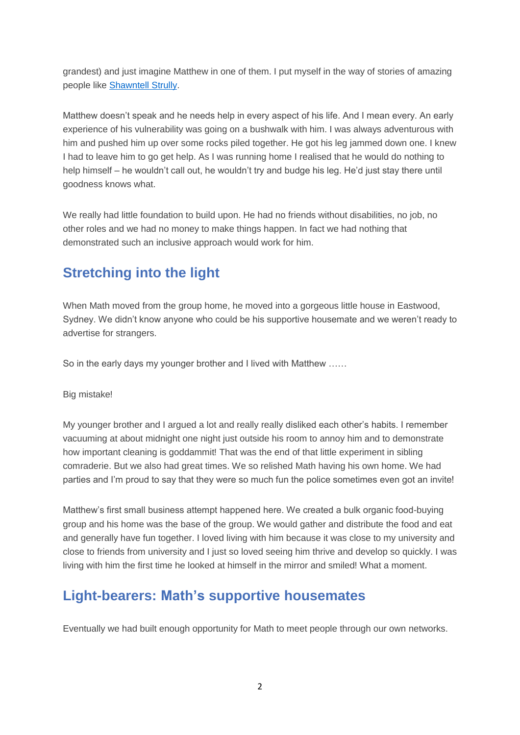grandest) and just imagine Matthew in one of them. I put myself in the way of stories of amazing people like [Shawntell](http://ici.umn.edu/products/impact/161/over1.html) Strully.

Matthew doesn't speak and he needs help in every aspect of his life. And I mean every. An early experience of his vulnerability was going on a bushwalk with him. I was always adventurous with him and pushed him up over some rocks piled together. He got his leg jammed down one. I knew I had to leave him to go get help. As I was running home I realised that he would do nothing to help himself – he wouldn't call out, he wouldn't try and budge his leg. He'd just stay there until goodness knows what.

We really had little foundation to build upon. He had no friends without disabilities, no job, no other roles and we had no money to make things happen. In fact we had nothing that demonstrated such an inclusive approach would work for him.

## **Stretching into the light**

When Math moved from the group home, he moved into a gorgeous little house in Eastwood, Sydney. We didn't know anyone who could be his supportive housemate and we weren't ready to advertise for strangers.

So in the early days my younger brother and I lived with Matthew ……

Big mistake!

My younger brother and I argued a lot and really really disliked each other's habits. I remember vacuuming at about midnight one night just outside his room to annoy him and to demonstrate how important cleaning is goddammit! That was the end of that little experiment in sibling comraderie. But we also had great times. We so relished Math having his own home. We had parties and I'm proud to say that they were so much fun the police sometimes even got an invite!

Matthew's first small business attempt happened here. We created a bulk organic food-buying group and his home was the base of the group. We would gather and distribute the food and eat and generally have fun together. I loved living with him because it was close to my university and close to friends from university and I just so loved seeing him thrive and develop so quickly. I was living with him the first time he looked at himself in the mirror and smiled! What a moment.

#### **Light-bearers: Math's supportive housemates**

Eventually we had built enough opportunity for Math to meet people through our own networks.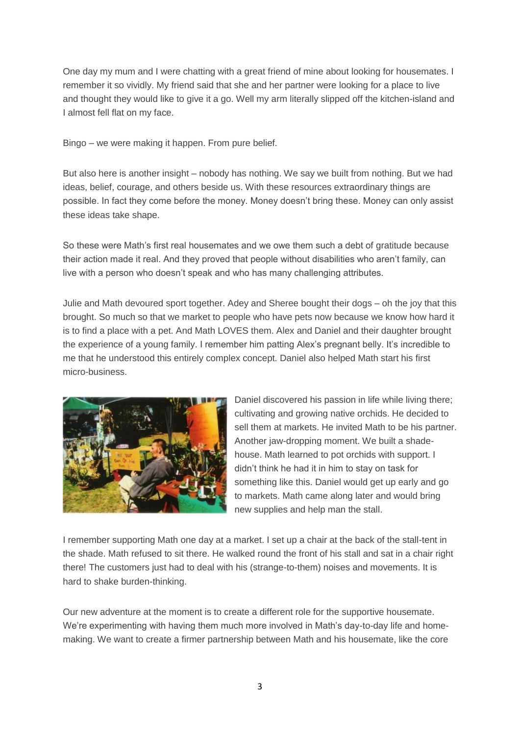One day my mum and I were chatting with a great friend of mine about looking for housemates. I remember it so vividly. My friend said that she and her partner were looking for a place to live and thought they would like to give it a go. Well my arm literally slipped off the kitchen-island and I almost fell flat on my face.

Bingo – we were making it happen. From pure belief.

But also here is another insight – nobody has nothing. We say we built from nothing. But we had ideas, belief, courage, and others beside us. With these resources extraordinary things are possible. In fact they come before the money. Money doesn't bring these. Money can only assist these ideas take shape.

So these were Math's first real housemates and we owe them such a debt of gratitude because their action made it real. And they proved that people without disabilities who aren't family, can live with a person who doesn't speak and who has many challenging attributes.

Julie and Math devoured sport together. Adey and Sheree bought their dogs – oh the joy that this brought. So much so that we market to people who have pets now because we know how hard it is to find a place with a pet. And Math LOVES them. Alex and Daniel and their daughter brought the experience of a young family. I remember him patting Alex's pregnant belly. It's incredible to me that he understood this entirely complex concept. Daniel also helped Math start his first micro-business.



Daniel discovered his passion in life while living there; cultivating and growing native orchids. He decided to sell them at markets. He invited Math to be his partner. Another jaw-dropping moment. We built a shadehouse. Math learned to pot orchids with support. I didn't think he had it in him to stay on task for something like this. Daniel would get up early and go to markets. Math came along later and would bring new supplies and help man the stall.

I remember supporting Math one day at a market. I set up a chair at the back of the stall-tent in the shade. Math refused to sit there. He walked round the front of his stall and sat in a chair right there! The customers just had to deal with his (strange-to-them) noises and movements. It is hard to shake burden-thinking.

Our new adventure at the moment is to create a different role for the supportive housemate. We're experimenting with having them much more involved in Math's day-to-day life and homemaking. We want to create a firmer partnership between Math and his housemate, like the core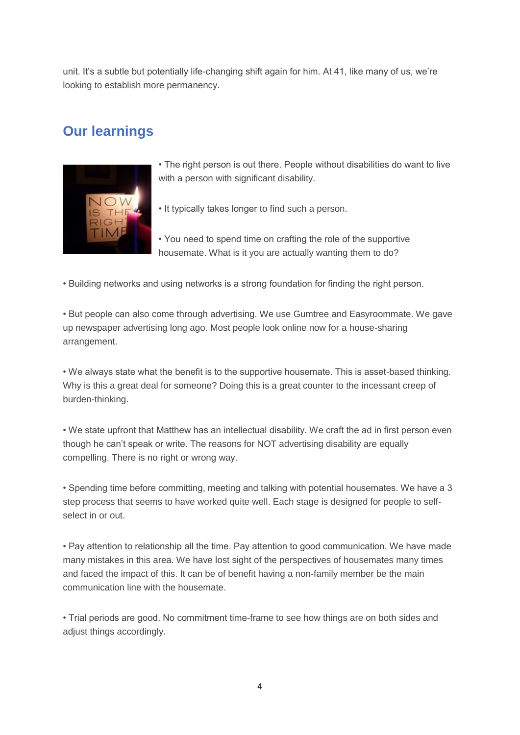unit. It's a subtle but potentially life-changing shift again for him. At 41, like many of us, we're looking to establish more permanency.

### **Our learnings**



- The right person is out there. People without disabilities do want to live with a person with significant disability.
- It typically takes longer to find such a person.

• You need to spend time on crafting the role of the supportive housemate. What is it you are actually wanting them to do?

• Building networks and using networks is a strong foundation for finding the right person.

• But people can also come through advertising. We use Gumtree and Easyroommate. We gave up newspaper advertising long ago. Most people look online now for a house-sharing arrangement.

• We always state what the benefit is to the supportive housemate. This is asset-based thinking. Why is this a great deal for someone? Doing this is a great counter to the incessant creep of burden-thinking.

• We state upfront that Matthew has an intellectual disability. We craft the ad in first person even though he can't speak or write. The reasons for NOT advertising disability are equally compelling. There is no right or wrong way.

• Spending time before committing, meeting and talking with potential housemates. We have a 3 step process that seems to have worked quite well. Each stage is designed for people to selfselect in or out.

• Pay attention to relationship all the time. Pay attention to good communication. We have made many mistakes in this area. We have lost sight of the perspectives of housemates many times and faced the impact of this. It can be of benefit having a non-family member be the main communication line with the housemate.

• Trial periods are good. No commitment time-frame to see how things are on both sides and adjust things accordingly.